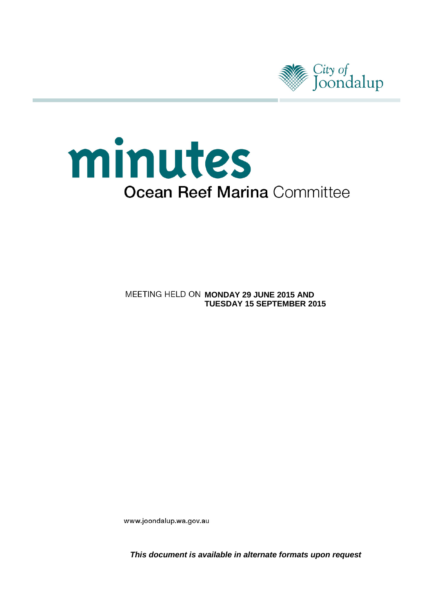

# minutes **Ocean Reef Marina Committee**

**MEETING HELD ON MONDAY 29 JUNE 2015 AND TUESDAY 15 SEPTEMBER 2015**

www.joondalup.wa.gov.au

*This document is available in alternate formats upon request*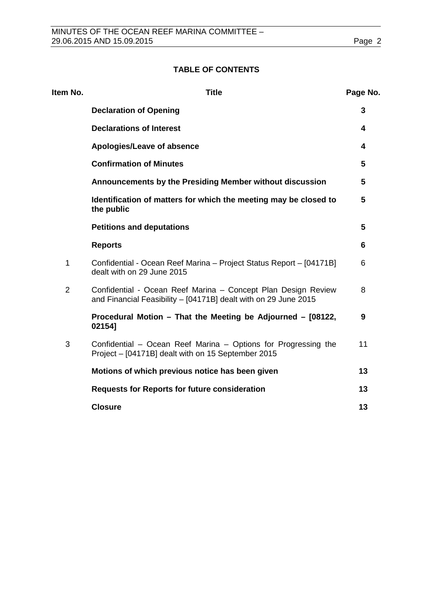# **TABLE OF CONTENTS**

| Item No.       | <b>Title</b>                                                                                                                     | Page No. |
|----------------|----------------------------------------------------------------------------------------------------------------------------------|----------|
|                | <b>Declaration of Opening</b>                                                                                                    | 3        |
|                | <b>Declarations of Interest</b>                                                                                                  | 4        |
|                | Apologies/Leave of absence                                                                                                       | 4        |
|                | <b>Confirmation of Minutes</b>                                                                                                   | 5        |
|                | Announcements by the Presiding Member without discussion                                                                         | 5        |
|                | Identification of matters for which the meeting may be closed to<br>the public                                                   | 5        |
|                | <b>Petitions and deputations</b>                                                                                                 | 5        |
|                | <b>Reports</b>                                                                                                                   | 6        |
| 1              | Confidential - Ocean Reef Marina - Project Status Report - [04171B]<br>dealt with on 29 June 2015                                | 6        |
| $\overline{2}$ | Confidential - Ocean Reef Marina - Concept Plan Design Review<br>and Financial Feasibility - [04171B] dealt with on 29 June 2015 | 8        |
|                | Procedural Motion - That the Meeting be Adjourned - [08122,<br>021541                                                            | 9        |
| 3              | Confidential – Ocean Reef Marina – Options for Progressing the<br>Project - [04171B] dealt with on 15 September 2015             | 11       |
|                | Motions of which previous notice has been given                                                                                  | 13       |
|                | <b>Requests for Reports for future consideration</b>                                                                             | 13       |
|                | <b>Closure</b>                                                                                                                   | 13       |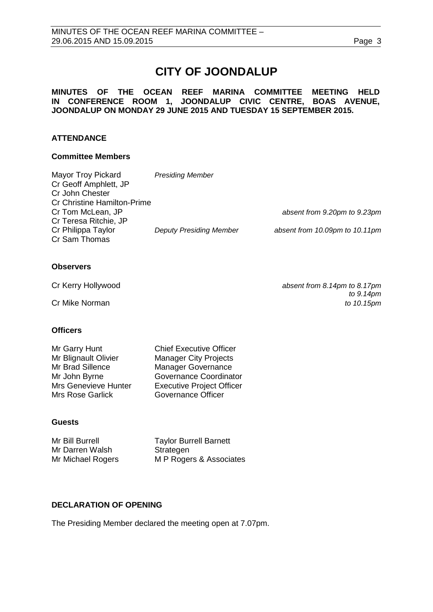# **CITY OF JOONDALUP**

# **MINUTES OF THE OCEAN REEF MARINA COMMITTEE MEETING HELD IN CONFERENCE ROOM 1, JOONDALUP CIVIC CENTRE, BOAS AVENUE, JOONDALUP ON MONDAY 29 JUNE 2015 AND TUESDAY 15 SEPTEMBER 2015.**

# **ATTENDANCE**

# **Committee Members**

| <b>Mayor Troy Pickard</b><br>Cr Geoff Amphlett, JP<br>Cr John Chester<br><b>Cr Christine Hamilton-Prime</b> | <b>Presiding Member</b>        |                                |
|-------------------------------------------------------------------------------------------------------------|--------------------------------|--------------------------------|
| Cr Tom McLean, JP                                                                                           |                                | absent from 9.20pm to 9.23pm   |
| Cr Teresa Ritchie, JP<br>Cr Philippa Taylor<br>Cr Sam Thomas                                                | <b>Deputy Presiding Member</b> | absent from 10.09pm to 10.11pm |

# **Observers**

**Cr Mike Norman** 

Cr Kerry Hollywood *absent from 8.14pm to 8.17pm to 9.14pm*

# **Officers**

| <b>Chief Executive Officer</b>   |
|----------------------------------|
| <b>Manager City Projects</b>     |
| Manager Governance               |
| Governance Coordinator           |
| <b>Executive Project Officer</b> |
| <b>Governance Officer</b>        |
|                                  |

# **Guests**

Mr Bill Burrell **Taylor Burrell Barnett** Mr Darren Walsh Strategen Mr Michael Rogers MP Rogers & Associates

# <span id="page-2-0"></span>**DECLARATION OF OPENING**

The Presiding Member declared the meeting open at 7.07pm.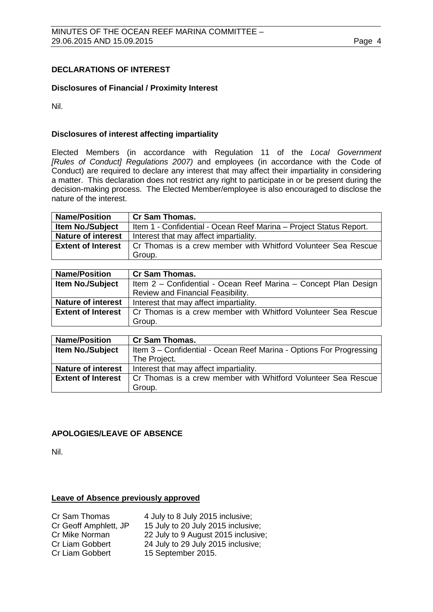# <span id="page-3-0"></span>**DECLARATIONS OF INTEREST**

# **Disclosures of Financial / Proximity Interest**

Nil.

# **Disclosures of interest affecting impartiality**

Elected Members (in accordance with Regulation 11 of the *Local Government [Rules of Conduct] Regulations 2007)* and employees (in accordance with the Code of Conduct) are required to declare any interest that may affect their impartiality in considering a matter. This declaration does not restrict any right to participate in or be present during the decision-making process. The Elected Member/employee is also encouraged to disclose the nature of the interest.

| <b>Name/Position</b>                                                                                 | <b>Cr Sam Thomas.</b>                                              |  |
|------------------------------------------------------------------------------------------------------|--------------------------------------------------------------------|--|
| <b>Item No./Subject</b>                                                                              | Item 1 - Confidential - Ocean Reef Marina - Project Status Report. |  |
| <b>Nature of interest</b>                                                                            | Interest that may affect impartiality.                             |  |
| <b>Extent of Interest</b><br>Cr Thomas is a crew member with Whitford Volunteer Sea Rescue<br>Group. |                                                                    |  |

| <b>Name/Position</b>      | <b>Cr Sam Thomas.</b>                                           |  |
|---------------------------|-----------------------------------------------------------------|--|
| <b>Item No./Subject</b>   | Item 2 - Confidential - Ocean Reef Marina - Concept Plan Design |  |
|                           | Review and Financial Feasibility.                               |  |
| <b>Nature of interest</b> | Interest that may affect impartiality.                          |  |
| <b>Extent of Interest</b> | Cr Thomas is a crew member with Whitford Volunteer Sea Rescue   |  |
|                           | Group.                                                          |  |

| <b>Name/Position</b>      | <b>Cr Sam Thomas.</b>                                               |  |
|---------------------------|---------------------------------------------------------------------|--|
| Item No./Subject          | Item 3 – Confidential - Ocean Reef Marina - Options For Progressing |  |
|                           | The Project.                                                        |  |
| <b>Nature of interest</b> | Interest that may affect impartiality.                              |  |
| <b>Extent of Interest</b> | Cr Thomas is a crew member with Whitford Volunteer Sea Rescue       |  |
|                           | Group.                                                              |  |

# <span id="page-3-1"></span>**APOLOGIES/LEAVE OF ABSENCE**

Nil.

# **Leave of Absence previously approved**

| Cr Sam Thomas         | 4 July to 8 July 2015 inclusive;    |
|-----------------------|-------------------------------------|
| Cr Geoff Amphlett, JP | 15 July to 20 July 2015 inclusive;  |
| Cr Mike Norman        | 22 July to 9 August 2015 inclusive; |
| Cr Liam Gobbert       | 24 July to 29 July 2015 inclusive;  |
| Cr Liam Gobbert       | 15 September 2015.                  |
|                       |                                     |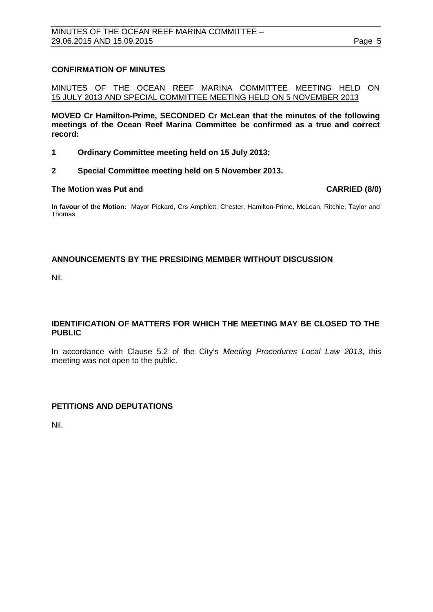# <span id="page-4-0"></span>**CONFIRMATION OF MINUTES**

MINUTES OF THE OCEAN REEF MARINA COMMITTEE MEETING HELD ON 15 JULY 2013 AND SPECIAL COMMITTEE MEETING HELD ON 5 NOVEMBER 2013

**MOVED Cr Hamilton-Prime, SECONDED Cr McLean that the minutes of the following meetings of the Ocean Reef Marina Committee be confirmed as a true and correct record:**

- **1 Ordinary Committee meeting held on 15 July 2013;**
- **2 Special Committee meeting held on 5 November 2013.**

### **The Motion was Put and CARRIED (8/0)**

**In favour of the Motion:** Mayor Pickard, Crs Amphlett, Chester, Hamilton-Prime, McLean, Ritchie, Taylor and Thomas.

# <span id="page-4-1"></span>**ANNOUNCEMENTS BY THE PRESIDING MEMBER WITHOUT DISCUSSION**

Nil.

# <span id="page-4-2"></span>**IDENTIFICATION OF MATTERS FOR WHICH THE MEETING MAY BE CLOSED TO THE PUBLIC**

In accordance with Clause 5.2 of the City's *Meeting Procedures Local Law 2013*, this meeting was not open to the public.

# <span id="page-4-3"></span>**PETITIONS AND DEPUTATIONS**

<span id="page-4-4"></span>Nil.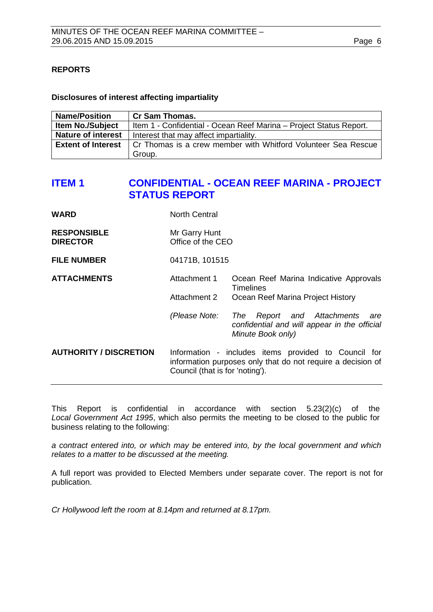# **REPORTS**

# **Disclosures of interest affecting impartiality**

| <b>Name/Position</b>                                                                       | <b>Cr Sam Thomas.</b>                                              |  |
|--------------------------------------------------------------------------------------------|--------------------------------------------------------------------|--|
| <b>Item No./Subject</b>                                                                    | Item 1 - Confidential - Ocean Reef Marina - Project Status Report. |  |
| <b>Nature of interest</b>                                                                  | Interest that may affect impartiality.                             |  |
| <b>Extent of Interest</b><br>Cr Thomas is a crew member with Whitford Volunteer Sea Rescue |                                                                    |  |
|                                                                                            | Group.                                                             |  |

# <span id="page-5-0"></span>**ITEM 1 CONFIDENTIAL - OCEAN REEF MARINA - PROJECT STATUS REPORT**

| <b>WARD</b>                           | North Central                                                                                                                                          |                                                                                                                  |
|---------------------------------------|--------------------------------------------------------------------------------------------------------------------------------------------------------|------------------------------------------------------------------------------------------------------------------|
| <b>RESPONSIBLE</b><br><b>DIRECTOR</b> | Mr Garry Hunt<br>Office of the CEO                                                                                                                     |                                                                                                                  |
| <b>FILE NUMBER</b>                    | 04171B, 101515                                                                                                                                         |                                                                                                                  |
| <b>ATTACHMENTS</b>                    | Attachment 1                                                                                                                                           | Ocean Reef Marina Indicative Approvals<br><b>Timelines</b>                                                       |
|                                       | Attachment 2                                                                                                                                           | Ocean Reef Marina Project History                                                                                |
|                                       | (Please Note:                                                                                                                                          | Report and Attachments<br><b>The</b><br>are<br>confidential and will appear in the official<br>Minute Book only) |
| <b>AUTHORITY / DISCRETION</b>         | Information - includes items provided to Council for<br>information purposes only that do not require a decision of<br>Council (that is for 'noting'). |                                                                                                                  |

This Report is confidential in accordance with section 5.23(2)(c) of the *Local Government Act 1995*, which also permits the meeting to be closed to the public for business relating to the following:

*a contract entered into, or which may be entered into, by the local government and which relates to a matter to be discussed at the meeting.*

A full report was provided to Elected Members under separate cover. The report is not for publication.

*Cr Hollywood left the room at 8.14pm and returned at 8.17pm.*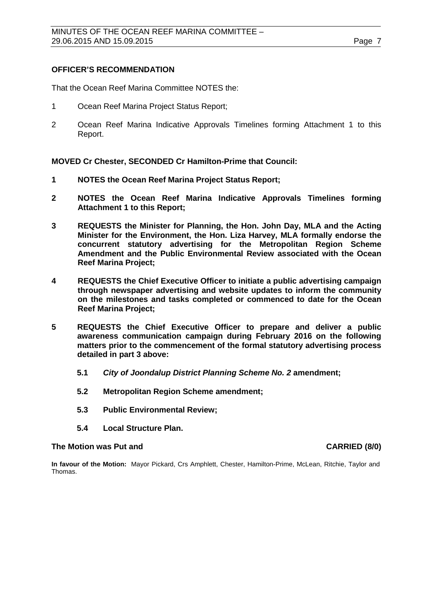# **OFFICER'S RECOMMENDATION**

That the Ocean Reef Marina Committee NOTES the:

- 1 Ocean Reef Marina Project Status Report;
- 2 Ocean Reef Marina Indicative Approvals Timelines forming Attachment 1 to this Report.

**MOVED Cr Chester, SECONDED Cr Hamilton-Prime that Council:**

- **1 NOTES the Ocean Reef Marina Project Status Report;**
- **2 NOTES the Ocean Reef Marina Indicative Approvals Timelines forming Attachment 1 to this Report;**
- **3 REQUESTS the Minister for Planning, the Hon. John Day, MLA and the Acting Minister for the Environment, the Hon. Liza Harvey, MLA formally endorse the concurrent statutory advertising for the Metropolitan Region Scheme Amendment and the Public Environmental Review associated with the Ocean Reef Marina Project;**
- **4 REQUESTS the Chief Executive Officer to initiate a public advertising campaign through newspaper advertising and website updates to inform the community on the milestones and tasks completed or commenced to date for the Ocean Reef Marina Project;**
- **5 REQUESTS the Chief Executive Officer to prepare and deliver a public awareness communication campaign during February 2016 on the following matters prior to the commencement of the formal statutory advertising process detailed in part 3 above:**
	- **5.1** *City of Joondalup District Planning Scheme No. 2* **amendment;**
	- **5.2 Metropolitan Region Scheme amendment;**
	- **5.3 Public Environmental Review;**
	- **5.4 Local Structure Plan.**

## **The Motion was Put and CARRIED (8/0)**

<span id="page-6-0"></span>**In favour of the Motion:** Mayor Pickard, Crs Amphlett, Chester, Hamilton-Prime, McLean, Ritchie, Taylor and Thomas.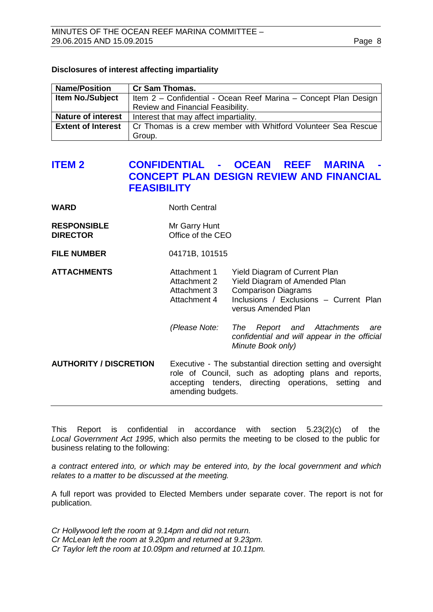# **Disclosures of interest affecting impartiality**

| <b>Name/Position</b>      | <b>Cr Sam Thomas.</b>                                           |  |  |
|---------------------------|-----------------------------------------------------------------|--|--|
| <b>Item No./Subject</b>   | Item 2 - Confidential - Ocean Reef Marina - Concept Plan Design |  |  |
|                           | Review and Financial Feasibility.                               |  |  |
| <b>Nature of interest</b> | Interest that may affect impartiality.                          |  |  |
| <b>Extent of Interest</b> | Cr Thomas is a crew member with Whitford Volunteer Sea Rescue   |  |  |
|                           | Group.                                                          |  |  |

# **ITEM 2 CONFIDENTIAL - OCEAN REEF MARINA - CONCEPT PLAN DESIGN REVIEW AND FINANCIAL FEASIBILITY**

| <b>RESPONSIBLE</b> | Mr Garry Hunt     |
|--------------------|-------------------|
| <b>DIRECTOR</b>    | Office of the CEO |

**WARD** North Central

**FILE NUMBER** 04171B, 101515

# **ATTACHMENTS** Attachment 1 Yield Diagram of Current Plan Attachment 2 Yield Diagram of Amended Plan<br>Attachment 3 Comparison Diagrams Attachment 3 Comparison Diagrams<br>Attachment 4 Inclusions / Exclusion Inclusions / Exclusions – Current Plan versus Amended Plan

*(Please Note: The Report and Attachments are confidential and will appear in the official Minute Book only)*

**AUTHORITY / DISCRETION** Executive - The substantial direction setting and oversight role of Council, such as adopting plans and reports, accepting tenders, directing operations, setting and amending budgets.

This Report is confidential in accordance with section 5.23(2)(c) of the *Local Government Act 1995*, which also permits the meeting to be closed to the public for business relating to the following:

*a contract entered into, or which may be entered into, by the local government and which relates to a matter to be discussed at the meeting.*

A full report was provided to Elected Members under separate cover. The report is not for publication.

*Cr Hollywood left the room at 9.14pm and did not return. Cr McLean left the room at 9.20pm and returned at 9.23pm. Cr Taylor left the room at 10.09pm and returned at 10.11pm.*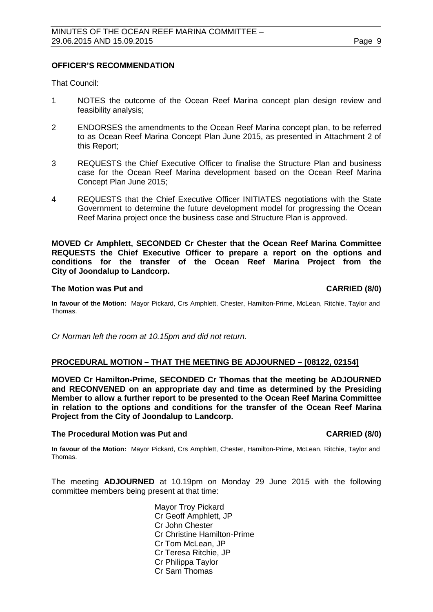# **OFFICER'S RECOMMENDATION**

That Council:

- 1 NOTES the outcome of the Ocean Reef Marina concept plan design review and feasibility analysis;
- 2 ENDORSES the amendments to the Ocean Reef Marina concept plan, to be referred to as Ocean Reef Marina Concept Plan June 2015, as presented in Attachment 2 of this Report;
- 3 REQUESTS the Chief Executive Officer to finalise the Structure Plan and business case for the Ocean Reef Marina development based on the Ocean Reef Marina Concept Plan June 2015;
- 4 REQUESTS that the Chief Executive Officer INITIATES negotiations with the State Government to determine the future development model for progressing the Ocean Reef Marina project once the business case and Structure Plan is approved.

**MOVED Cr Amphlett, SECONDED Cr Chester that the Ocean Reef Marina Committee REQUESTS the Chief Executive Officer to prepare a report on the options and conditions for the transfer of the Ocean Reef Marina Project from the City of Joondalup to Landcorp.** 

### **The Motion was Put and CARRIED (8/0)**

**In favour of the Motion:** Mayor Pickard, Crs Amphlett, Chester, Hamilton-Prime, McLean, Ritchie, Taylor and Thomas.

*Cr Norman left the room at 10.15pm and did not return.*

# <span id="page-8-0"></span>**PROCEDURAL MOTION – THAT THE MEETING BE ADJOURNED – [08122, 02154]**

**MOVED Cr Hamilton-Prime, SECONDED Cr Thomas that the meeting be ADJOURNED and RECONVENED on an appropriate day and time as determined by the Presiding Member to allow a further report to be presented to the Ocean Reef Marina Committee in relation to the options and conditions for the transfer of the Ocean Reef Marina Project from the City of Joondalup to Landcorp.** 

### **The Procedural Motion was Put and CARRIED (8/0)**

**In favour of the Motion:** Mayor Pickard, Crs Amphlett, Chester, Hamilton-Prime, McLean, Ritchie, Taylor and Thomas.

The meeting **ADJOURNED** at 10.19pm on Monday 29 June 2015 with the following committee members being present at that time:

> Mayor Troy Pickard Cr Geoff Amphlett, JP Cr John Chester Cr Christine Hamilton-Prime Cr Tom McLean, JP Cr Teresa Ritchie, JP Cr Philippa Taylor Cr Sam Thomas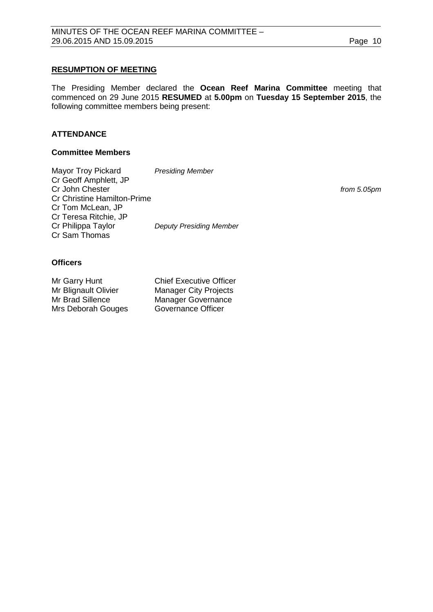# **RESUMPTION OF MEETING**

The Presiding Member declared the **Ocean Reef Marina Committee** meeting that commenced on 29 June 2015 **RESUMED** at **5.00pm** on **Tuesday 15 September 2015**, the following committee members being present:

# **ATTENDANCE**

## **Committee Members**

Mayor Troy Pickard *Presiding Member* Cr Geoff Amphlett, JP Cr John Chester *from 5.05pm* Cr Christine Hamilton-Prime Cr Tom McLean, JP Cr Teresa Ritchie, JP **Deputy Presiding Member** Cr Sam Thomas

# **Officers**

| Mr Garry Hunt        | <b>Chief Executive Officer</b> |
|----------------------|--------------------------------|
| Mr Blignault Olivier | <b>Manager City Projects</b>   |
| Mr Brad Sillence     | <b>Manager Governance</b>      |
| Mrs Deborah Gouges   | Governance Officer             |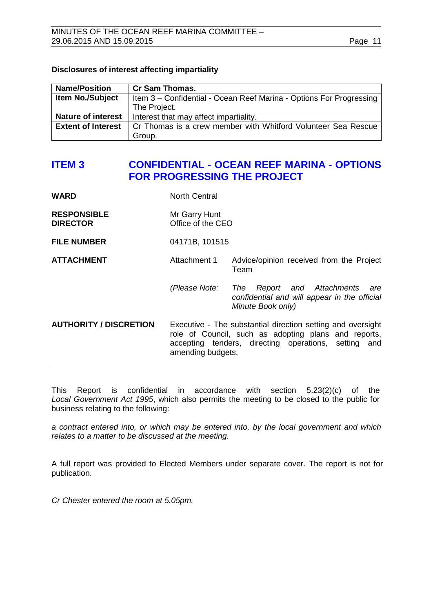# <span id="page-10-0"></span>**Disclosures of interest affecting impartiality**

| <b>Name/Position</b>      | <b>Cr Sam Thomas.</b>                                               |  |  |
|---------------------------|---------------------------------------------------------------------|--|--|
| <b>Item No./Subject</b>   | Item 3 - Confidential - Ocean Reef Marina - Options For Progressing |  |  |
|                           | The Project.                                                        |  |  |
| <b>Nature of interest</b> | Interest that may affect impartiality.                              |  |  |
| <b>Extent of Interest</b> | Cr Thomas is a crew member with Whitford Volunteer Sea Rescue       |  |  |
|                           | Group.                                                              |  |  |

# **ITEM 3 CONFIDENTIAL - OCEAN REEF MARINA - OPTIONS FOR PROGRESSING THE PROJECT**

| WARD                                  | <b>North Central</b>                                                                                                                                                                             |                                                                                                    |  |
|---------------------------------------|--------------------------------------------------------------------------------------------------------------------------------------------------------------------------------------------------|----------------------------------------------------------------------------------------------------|--|
| <b>RESPONSIBLE</b><br><b>DIRECTOR</b> | Mr Garry Hunt<br>Office of the CEO                                                                                                                                                               |                                                                                                    |  |
| <b>FILE NUMBER</b>                    | 04171B, 101515                                                                                                                                                                                   |                                                                                                    |  |
| <b>ATTACHMENT</b>                     | Attachment 1                                                                                                                                                                                     | Advice/opinion received from the Project<br>Team                                                   |  |
|                                       | (Please Note: The                                                                                                                                                                                | Report and Attachments<br>are<br>confidential and will appear in the official<br>Minute Book only) |  |
| <b>AUTHORITY / DISCRETION</b>         | Executive - The substantial direction setting and oversight<br>role of Council, such as adopting plans and reports,<br>accepting tenders, directing operations, setting and<br>amending budgets. |                                                                                                    |  |

This Report is confidential in accordance with section 5.23(2)(c) of the *Local Government Act 1995*, which also permits the meeting to be closed to the public for business relating to the following:

*a contract entered into, or which may be entered into, by the local government and which relates to a matter to be discussed at the meeting.*

A full report was provided to Elected Members under separate cover. The report is not for publication.

*Cr Chester entered the room at 5.05pm.*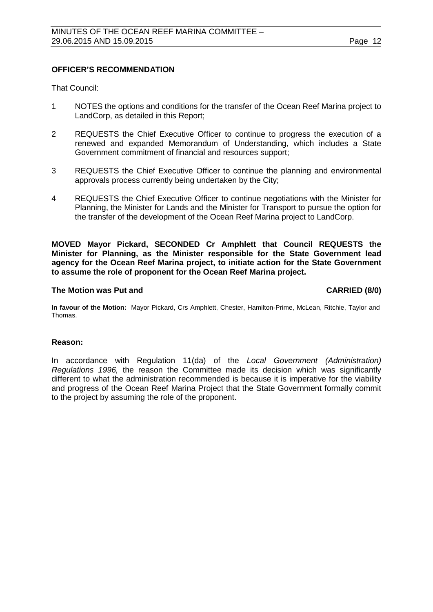# **OFFICER'S RECOMMENDATION**

That Council:

- 1 NOTES the options and conditions for the transfer of the Ocean Reef Marina project to LandCorp, as detailed in this Report;
- 2 REQUESTS the Chief Executive Officer to continue to progress the execution of a renewed and expanded Memorandum of Understanding, which includes a State Government commitment of financial and resources support;
- 3 REQUESTS the Chief Executive Officer to continue the planning and environmental approvals process currently being undertaken by the City;
- 4 REQUESTS the Chief Executive Officer to continue negotiations with the Minister for Planning, the Minister for Lands and the Minister for Transport to pursue the option for the transfer of the development of the Ocean Reef Marina project to LandCorp.

**MOVED Mayor Pickard, SECONDED Cr Amphlett that Council REQUESTS the Minister for Planning, as the Minister responsible for the State Government lead agency for the Ocean Reef Marina project, to initiate action for the State Government to assume the role of proponent for the Ocean Reef Marina project.**

# **The Motion was Put and CARRIED (8/0)**

**In favour of the Motion:** Mayor Pickard, Crs Amphlett, Chester, Hamilton-Prime, McLean, Ritchie, Taylor and Thomas.

# **Reason:**

In accordance with Regulation 11(da) of the *Local Government (Administration) Regulations 1996,* the reason the Committee made its decision which was significantly different to what the administration recommended is because it is imperative for the viability and progress of the Ocean Reef Marina Project that the State Government formally commit to the project by assuming the role of the proponent.